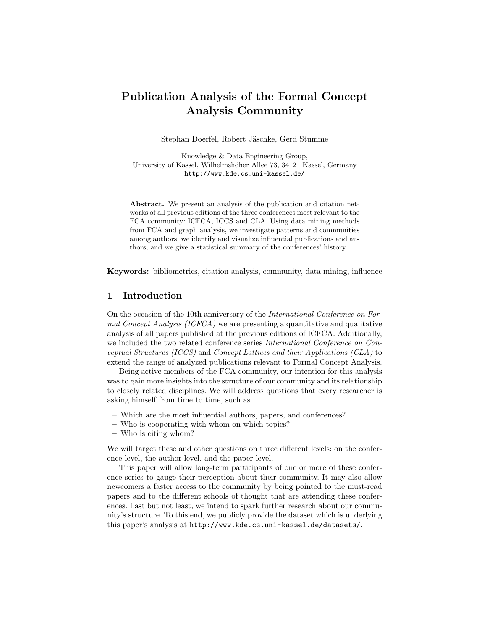# Publication Analysis of the Formal Concept Analysis Community

Stephan Doerfel, Robert Jäschke, Gerd Stumme

Knowledge & Data Engineering Group, University of Kassel, Wilhelmshöher Allee 73, 34121 Kassel, Germany [http://www.kde.cs.uni-kassel.de/](https://www.kde.cs.uni-kassel.de/)

Abstract. We present an analysis of the publication and citation networks of all previous editions of the three conferences most relevant to the FCA community: ICFCA, ICCS and CLA. Using data mining methods from FCA and graph analysis, we investigate patterns and communities among authors, we identify and visualize influential publications and authors, and we give a statistical summary of the conferences' history.

Keywords: bibliometrics, citation analysis, community, data mining, influence

## 1 Introduction

On the occasion of the 10th anniversary of the International Conference on Formal Concept Analysis (ICFCA) we are presenting a quantitative and qualitative analysis of all papers published at the previous editions of ICFCA. Additionally, we included the two related conference series International Conference on Conceptual Structures (ICCS) and Concept Lattices and their Applications (CLA) to extend the range of analyzed publications relevant to Formal Concept Analysis.

Being active members of the FCA community, our intention for this analysis was to gain more insights into the structure of our community and its relationship to closely related disciplines. We will address questions that every researcher is asking himself from time to time, such as

- Which are the most influential authors, papers, and conferences?
- Who is cooperating with whom on which topics?
- Who is citing whom?

We will target these and other questions on three different levels: on the conference level, the author level, and the paper level.

This paper will allow long-term participants of one or more of these conference series to gauge their perception about their community. It may also allow newcomers a faster access to the community by being pointed to the must-read papers and to the different schools of thought that are attending these conferences. Last but not least, we intend to spark further research about our community's structure. To this end, we publicly provide the dataset which is underlying this paper's analysis at [http://www.kde.cs.uni-kassel.de/datasets/](https://www.kde.cs.uni-kassel.de/datasets/).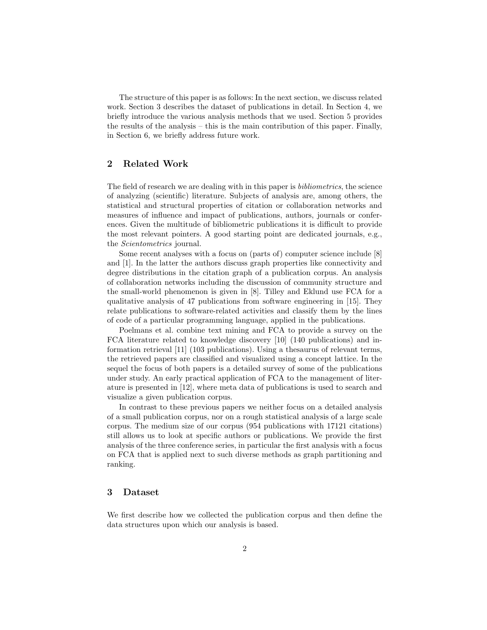The structure of this paper is as follows: In the next section, we discuss related work. Section [3](#page-1-0) describes the dataset of publications in detail. In Section [4,](#page-3-0) we briefly introduce the various analysis methods that we used. Section [5](#page-4-0) provides the results of the analysis – this is the main contribution of this paper. Finally, in Section [6,](#page-13-0) we briefly address future work.

## 2 Related Work

The field of research we are dealing with in this paper is *bibliometrics*, the science of analyzing (scientific) literature. Subjects of analysis are, among others, the statistical and structural properties of citation or collaboration networks and measures of influence and impact of publications, authors, journals or conferences. Given the multitude of bibliometric publications it is difficult to provide the most relevant pointers. A good starting point are dedicated journals, e.g., the Scientometrics journal.

Some recent analyses with a focus on (parts of) computer science include [\[8\]](#page-15-0) and [\[1\]](#page-15-1). In the latter the authors discuss graph properties like connectivity and degree distributions in the citation graph of a publication corpus. An analysis of collaboration networks including the discussion of community structure and the small-world phenomenon is given in [\[8\]](#page-15-0). Tilley and Eklund use FCA for a qualitative analysis of 47 publications from software engineering in [\[15\]](#page-16-0). They relate publications to software-related activities and classify them by the lines of code of a particular programming language, applied in the publications.

Poelmans et al. combine text mining and FCA to provide a survey on the FCA literature related to knowledge discovery [\[10\]](#page-15-2) (140 publications) and information retrieval [\[11\]](#page-15-3) (103 publications). Using a thesaurus of relevant terms, the retrieved papers are classified and visualized using a concept lattice. In the sequel the focus of both papers is a detailed survey of some of the publications under study. An early practical application of FCA to the management of literature is presented in [\[12\]](#page-15-4), where meta data of publications is used to search and visualize a given publication corpus.

In contrast to these previous papers we neither focus on a detailed analysis of a small publication corpus, nor on a rough statistical analysis of a large scale corpus. The medium size of our corpus (954 publications with 17121 citations) still allows us to look at specific authors or publications. We provide the first analysis of the three conference series, in particular the first analysis with a focus on FCA that is applied next to such diverse methods as graph partitioning and ranking.

#### <span id="page-1-0"></span>3 Dataset

We first describe how we collected the publication corpus and then define the data structures upon which our analysis is based.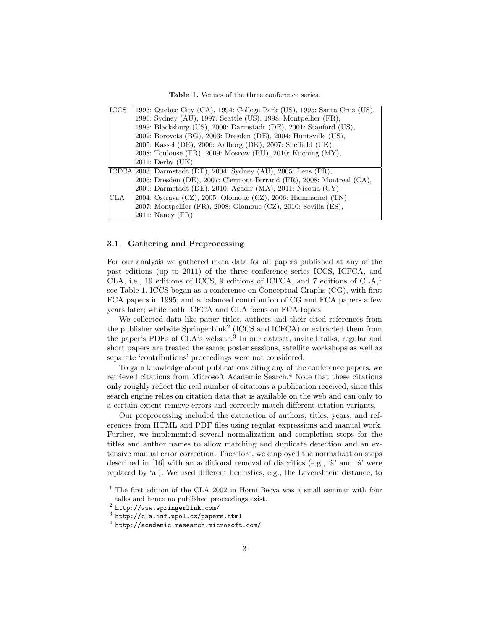<span id="page-2-1"></span>Table 1. Venues of the three conference series.

| <b>ICCS</b> | 1993: Quebec City (CA), 1994: College Park (US), 1995: Santa Cruz (US), |
|-------------|-------------------------------------------------------------------------|
|             | 1996: Sydney (AU), 1997: Seattle (US), 1998: Montpellier (FR),          |
|             | 1999: Blacksburg (US), 2000: Darmstadt (DE), 2001: Stanford (US),       |
|             | 2002: Borovets (BG), 2003: Dresden (DE), 2004: Huntsville (US),         |
|             | 2005: Kassel (DE), 2006: Aalborg (DK), 2007: Sheffield (UK),            |
|             | 2008: Toulouse (FR), 2009: Moscow (RU), 2010: Kuching (MY),             |
|             | $2011:$ Derby $(UK)$                                                    |
|             | ICFCA 2003: Darmstadt (DE), 2004: Sydney (AU), 2005: Lens (FR),         |
|             | 2006: Dresden (DE), 2007: Clermont-Ferrand (FR), 2008: Montreal (CA),   |
|             | 2009: Darmstadt (DE), 2010: Agadir (MA), 2011: Nicosia (CY)             |
| <b>CLA</b>  | 2004: Ostrava (CZ), 2005: Olomouc (CZ), 2006: Hammamet (TN),            |
|             | 2007: Montpellier (FR), 2008: Olomouc (CZ), 2010: Sevilla (ES),         |
|             | $2011:$ Nancy $(FR)$                                                    |

#### 3.1 Gathering and Preprocessing

For our analysis we gathered meta data for all papers published at any of the past editions (up to 2011) of the three conference series ICCS, ICFCA, and CLA, i.e., [1](#page-2-0)9 editions of ICCS, 9 editions of ICFCA, and 7 editions of  $CLA$ <sup>1</sup> see Table [1.](#page-2-1) ICCS began as a conference on Conceptual Graphs (CG), with first FCA papers in 1995, and a balanced contribution of CG and FCA papers a few years later; while both ICFCA and CLA focus on FCA topics.

We collected data like paper titles, authors and their cited references from the publisher website  $SpringerLink<sup>2</sup> (ICCS and ICFCA)$  $SpringerLink<sup>2</sup> (ICCS and ICFCA)$  $SpringerLink<sup>2</sup> (ICCS and ICFCA)$  or extracted them from the paper's PDFs of CLA's website.<sup>[3](#page-2-3)</sup> In our dataset, invited talks, regular and short papers are treated the same; poster sessions, satellite workshops as well as separate 'contributions' proceedings were not considered.

To gain knowledge about publications citing any of the conference papers, we retrieved citations from Microsoft Academic Search.<sup>[4](#page-2-4)</sup> Note that these citations only roughly reflect the real number of citations a publication received, since this search engine relies on citation data that is available on the web and can only to a certain extent remove errors and correctly match different citation variants.

Our preprocessing included the extraction of authors, titles, years, and references from HTML and PDF files using regular expressions and manual work. Further, we implemented several normalization and completion steps for the titles and author names to allow matching and duplicate detection and an extensive manual error correction. Therefore, we employed the normalization steps described in  $[16]$  with an additional removal of diacritics (e.g., 'a' and 'a' were replaced by 'a'). We used different heuristics, e.g., the Levenshtein distance, to

<span id="page-2-0"></span> $1$ <sup>1</sup> The first edition of the CLA 2002 in Horní Bečva was a small seminar with four talks and hence no published proceedings exist.

<span id="page-2-2"></span> $^2$  <http://www.springerlink.com/>

<span id="page-2-3"></span> $^3$  <http://cla.inf.upol.cz/papers.html>

<span id="page-2-4"></span><sup>4</sup> <http://academic.research.microsoft.com/>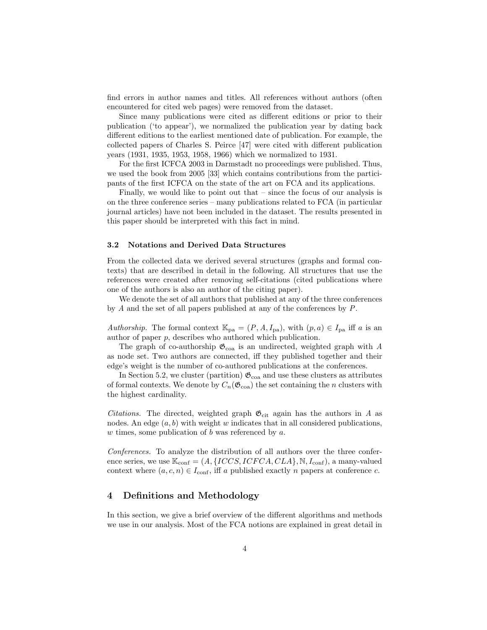find errors in author names and titles. All references without authors (often encountered for cited web pages) were removed from the dataset.

Since many publications were cited as different editions or prior to their publication ('to appear'), we normalized the publication year by dating back different editions to the earliest mentioned date of publication. For example, the collected papers of Charles S. Peirce [\[47\]](#page-18-0) were cited with different publication years (1931, 1935, 1953, 1958, 1966) which we normalized to 1931.

For the first ICFCA 2003 in Darmstadt no proceedings were published. Thus, we used the book from 2005 [\[33\]](#page-17-0) which contains contributions from the participants of the first ICFCA on the state of the art on FCA and its applications.

Finally, we would like to point out that – since the focus of our analysis is on the three conference series – many publications related to FCA (in particular journal articles) have not been included in the dataset. The results presented in this paper should be interpreted with this fact in mind.

#### <span id="page-3-1"></span>3.2 Notations and Derived Data Structures

From the collected data we derived several structures (graphs and formal contexts) that are described in detail in the following. All structures that use the references were created after removing self-citations (cited publications where one of the authors is also an author of the citing paper).

We denote the set of all authors that published at any of the three conferences by A and the set of all papers published at any of the conferences by P.

Authorship. The formal context  $\mathbb{K}_{pa} = (P, A, I_{pa})$ , with  $(p, a) \in I_{pa}$  iff a is an author of paper p, describes who authored which publication.

The graph of co-authorship  $\mathfrak{G}_{\text{coa}}$  is an undirected, weighted graph with A as node set. Two authors are connected, iff they published together and their edge's weight is the number of co-authored publications at the conferences.

In Section [5.2,](#page-8-0) we cluster (partition)  $\mathfrak{G}_{\text{coa}}$  and use these clusters as attributes of formal contexts. We denote by  $C_n(\mathfrak{G}_{\text{coa}})$  the set containing the n clusters with the highest cardinality.

Citations. The directed, weighted graph  $\mathfrak{G}_{\text{cit}}$  again has the authors in A as nodes. An edge  $(a, b)$  with weight w indicates that in all considered publications, w times, some publication of  $b$  was referenced by  $a$ .

Conferences. To analyze the distribution of all authors over the three conference series, we use  $\mathbb{K}_{\text{conf}} = (A, \{ICCS, ICFCA, CLA\}, \mathbb{N}, I_{\text{conf}})$ , a many-valued context where  $(a, c, n) \in I_{\text{conf}}$ , iff a published exactly n papers at conference c.

## <span id="page-3-0"></span>4 Definitions and Methodology

In this section, we give a brief overview of the different algorithms and methods we use in our analysis. Most of the FCA notions are explained in great detail in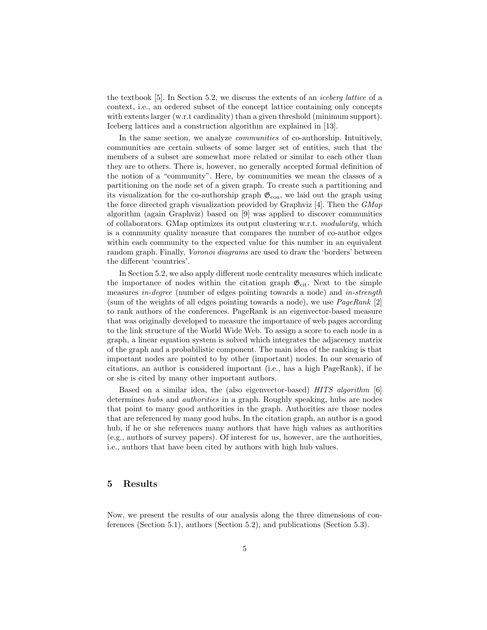the textbook [\[5\]](#page-15-5). In Section [5.2,](#page-8-0) we discuss the extents of an iceberg lattice of a context, i.e., an ordered subset of the concept lattice containing only concepts with extents larger (w.r.t cardinality) than a given threshold (minimum support). Iceberg lattices and a construction algorithm are explained in [\[13\]](#page-16-2).

In the same section, we analyze *communities* of co-authorship. Intuitively, communities are certain subsets of some larger set of entities, such that the members of a subset are somewhat more related or similar to each other than they are to others. There is, however, no generally accepted formal definition of the notion of a "community". Here, by communities we mean the classes of a partitioning on the node set of a given graph. To create such a partitioning and its visualization for the co-authorship graph  $\mathfrak{G}_{\text{coa}}$ , we laid out the graph using the force directed graph visualization provided by Graphviz [\[4\]](#page-15-6). Then the GMap algorithm (again Graphviz) based on [\[9\]](#page-15-7) was applied to discover communities of collaborators. GMap optimizes its output clustering w.r.t. modularity, which is a community quality measure that compares the number of co-author edges within each community to the expected value for this number in an equivalent random graph. Finally, *Voronoi diagrams* are used to draw the 'borders' between the different 'countries'.

In Section [5.2,](#page-11-0) we also apply different node centrality measures which indicate the importance of nodes within the citation graph  $\mathfrak{G}_{\text{cit}}$ . Next to the simple measures in-degree (number of edges pointing towards a node) and in-strength (sum of the weights of all edges pointing towards a node), we use PageRank [\[2\]](#page-15-8) to rank authors of the conferences. PageRank is an eigenvector-based measure that was originally developed to measure the importance of web pages according to the link structure of the World Wide Web. To assign a score to each node in a graph, a linear equation system is solved which integrates the adjacency matrix of the graph and a probabilistic component. The main idea of the ranking is that important nodes are pointed to by other (important) nodes. In our scenario of citations, an author is considered important (i.e., has a high PageRank), if he or she is cited by many other important authors.

Based on a similar idea, the (also eigenvector-based) HITS algorithm [\[6\]](#page-15-9) determines hubs and *authorities* in a graph. Roughly speaking, hubs are nodes that point to many good authorities in the graph. Authorities are those nodes that are referenced by many good hubs. In the citation graph, an author is a good hub, if he or she references many authors that have high values as authorities (e.g., authors of survey papers). Of interest for us, however, are the authorities, i.e., authors that have been cited by authors with high hub values.

## <span id="page-4-0"></span>5 Results

Now, we present the results of our analysis along the three dimensions of conferences (Section [5.1\)](#page-5-0), authors (Section [5.2\)](#page-8-0), and publications (Section [5.3\)](#page-11-1).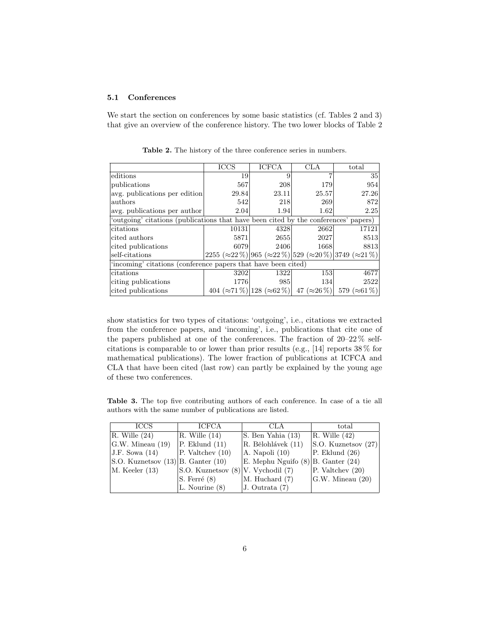#### <span id="page-5-0"></span>5.1 Conferences

We start the section on conferences by some basic statistics (cf. Tables [2](#page-5-1) and [3\)](#page-5-2) that give an overview of the conference history. The two lower blocks of Table [2](#page-5-1)

|                                                                                     | <b>ICCS</b> | <b>ICFCA</b>                               | <b>CLA</b>          | total                                                                                     |
|-------------------------------------------------------------------------------------|-------------|--------------------------------------------|---------------------|-------------------------------------------------------------------------------------------|
| editions                                                                            | 19          | 9                                          |                     | 35                                                                                        |
| publications                                                                        | 567         | 208                                        | 179                 | 954                                                                                       |
| avg. publications per edition                                                       | 29.84       | 23.11                                      | 25.57               | 27.26                                                                                     |
| authors                                                                             | 542         | 218                                        | 269                 | 872                                                                                       |
| avg. publications per author                                                        | 2.04        | 1.94                                       | 1.62                | 2.25                                                                                      |
| 'outgoing' citations (publications that have been cited by the conferences' papers) |             |                                            |                     |                                                                                           |
| citations                                                                           | 10131       | 4328                                       | 2662                | 17121                                                                                     |
| cited authors                                                                       | 5871        | 2655                                       | 2027                | 8513                                                                                      |
| cited publications                                                                  | 6079        | 2406                                       | 1668                | 8813                                                                                      |
| self-citations                                                                      |             |                                            |                     | 2255 ( $\approx$ 22 %) 965 ( $\approx$ 22 %) 529 ( $\approx$ 20 %) 3749 ( $\approx$ 21 %) |
| 'incoming' citations (conference papers that have been cited)                       |             |                                            |                     |                                                                                           |
| citations                                                                           | 3202        | 1322                                       | 153                 | 4677                                                                                      |
| citing publications                                                                 | 1776        | 985                                        | 134                 | 2522                                                                                      |
| cited publications                                                                  |             | 404 $(\approx 71\%)$  128 $(\approx 62\%)$ | 47 $(\approx 26\%)$ | 579 ( $\approx 61\%$ )                                                                    |

<span id="page-5-1"></span>Table 2. The history of the three conference series in numbers.

show statistics for two types of citations: 'outgoing', i.e., citations we extracted from the conference papers, and 'incoming', i.e., publications that cite one of the papers published at one of the conferences. The fraction of 20–22 % selfcitations is comparable to or lower than prior results (e.g., [\[14\]](#page-16-3) reports 38 % for mathematical publications). The lower fraction of publications at ICFCA and CLA that have been cited (last row) can partly be explained by the young age of these two conferences.

<span id="page-5-2"></span>Table 3. The top five contributing authors of each conference. In case of a tie all authors with the same number of publications are listed.

| <b>ICCS</b>                        | <b>ICFCA</b>                       | CLA                                    | total                       |
|------------------------------------|------------------------------------|----------------------------------------|-----------------------------|
| $R.$ Wille $(24)$                  | $R.$ Wille $(14)$                  | S. Ben Yahia (13)                      | $\mathbb{R}$ . Wille $(42)$ |
| $ G.W.$ Mineau $(19)$              | $ P$ . Eklund $(11)$               | R. Bělohlávek (11)                     | S.O. Kuznetsov (27)         |
| J.F. Sowa (14)                     | $P.$ Valtchev $(10)$               | $A.$ Napoli $(10)$                     | $ P$ . Eklund $(26)$        |
| S.O. Kuznetsov (13) B. Ganter (10) |                                    | E. Mephu Nguifo $(8)$ B. Ganter $(24)$ |                             |
| $M.$ Keeler $(13)$                 | S.O. Kuznetsov (8) V. Vychodil (7) |                                        | $ P.$ Valtchev $(20)$       |
|                                    | $ S.$ Ferré $(8)$                  | M. Huchard (7)                         | $ G.W.$ Mineau $(20)$       |
|                                    | L. Nourine (8)                     | J. Outrata $(7)$                       |                             |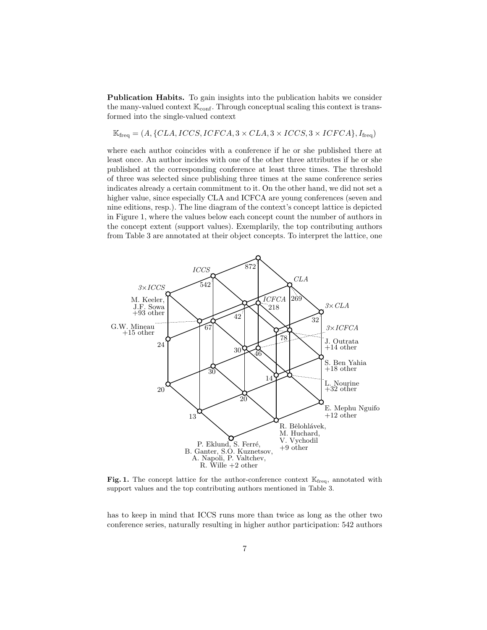Publication Habits. To gain insights into the publication habits we consider the many-valued context  $\mathbb{K}_{\text{conf}}$ . Through conceptual scaling this context is transformed into the single-valued context

$$
\mathbb{K}_{\text{freq}} = (A, \{CLA, ICCS, ICFCA, 3 \times CLA, 3 \times ICCS, 3 \times ICFCA\}, I_{\text{freq}})
$$

where each author coincides with a conference if he or she published there at least once. An author incides with one of the other three attributes if he or she published at the corresponding conference at least three times. The threshold of three was selected since publishing three times at the same conference series indicates already a certain commitment to it. On the other hand, we did not set a higher value, since especially CLA and ICFCA are young conferences (seven and nine editions, resp.). The line diagram of the context's concept lattice is depicted in Figure [1,](#page-6-0) where the values below each concept count the number of authors in the concept extent (support values). Exemplarily, the top contributing authors from Table [3](#page-5-2) are annotated at their object concepts. To interpret the lattice, one



<span id="page-6-0"></span>Fig. 1. The concept lattice for the author-conference context  $\mathbb{K}_{\text{freq}},$  annotated with support values and the top contributing authors mentioned in Table [3.](#page-5-2)

has to keep in mind that ICCS runs more than twice as long as the other two conference series, naturally resulting in higher author participation: 542 authors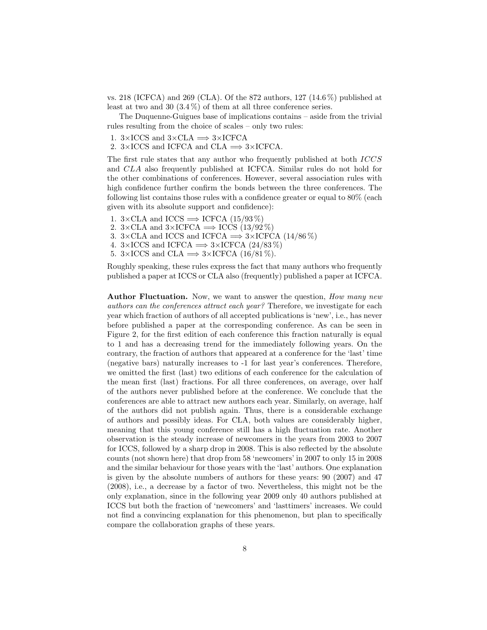vs. 218 (ICFCA) and 269 (CLA). Of the 872 authors, 127 (14.6  $\%$ ) published at least at two and 30  $(3.4\%)$  of them at all three conference series.

The Duquenne-Guigues base of implications contains – aside from the trivial rules resulting from the choice of scales – only two rules:

- 1.  $3 \times$ ICCS and  $3 \times$ CLA  $\implies$   $3 \times$ ICFCA
- 2.  $3\times$ ICCS and ICFCA and CLA  $\Longrightarrow$   $3\times$ ICFCA.

The first rule states that any author who frequently published at both ICCS and CLA also frequently published at ICFCA. Similar rules do not hold for the other combinations of conferences. However, several association rules with high confidence further confirm the bonds between the three conferences. The following list contains those rules with a confidence greater or equal to 80% (each given with its absolute support and confidence):

- 1.  $3 \times \text{CLA}$  and ICCS  $\implies$  ICFCA (15/93%)
- 2.  $3 \times \text{CLA}$  and  $3 \times \text{ICFCA} \Longrightarrow \text{ICCS}$  (13/92 %)
- 3.  $3 \times \text{CLA}$  and ICCS and ICFCA  $\implies 3 \times \text{ICFCA}$  (14/86 %)
- 4.  $3 \times \text{ICCS}$  and ICFCA  $\implies 3 \times \text{ICFCA}$  (24/83%)
- 5.  $3 \times \text{ICCS}$  and CLA  $\Longrightarrow 3 \times \text{ICFCA}$  (16/81%).

Roughly speaking, these rules express the fact that many authors who frequently published a paper at ICCS or CLA also (frequently) published a paper at ICFCA.

Author Fluctuation. Now, we want to answer the question, *How many new* authors can the conferences attract each year? Therefore, we investigate for each year which fraction of authors of all accepted publications is 'new', i.e., has never before published a paper at the corresponding conference. As can be seen in Figure [2,](#page-8-1) for the first edition of each conference this fraction naturally is equal to 1 and has a decreasing trend for the immediately following years. On the contrary, the fraction of authors that appeared at a conference for the 'last' time (negative bars) naturally increases to -1 for last year's conferences. Therefore, we omitted the first (last) two editions of each conference for the calculation of the mean first (last) fractions. For all three conferences, on average, over half of the authors never published before at the conference. We conclude that the conferences are able to attract new authors each year. Similarly, on average, half of the authors did not publish again. Thus, there is a considerable exchange of authors and possibly ideas. For CLA, both values are considerably higher, meaning that this young conference still has a high fluctuation rate. Another observation is the steady increase of newcomers in the years from 2003 to 2007 for ICCS, followed by a sharp drop in 2008. This is also reflected by the absolute counts (not shown here) that drop from 58 'newcomers' in 2007 to only 15 in 2008 and the similar behaviour for those years with the 'last' authors. One explanation is given by the absolute numbers of authors for these years: 90 (2007) and 47 (2008), i.e., a decrease by a factor of two. Nevertheless, this might not be the only explanation, since in the following year 2009 only 40 authors published at ICCS but both the fraction of 'newcomers' and 'lasttimers' increases. We could not find a convincing explanation for this phenomenon, but plan to specifically compare the collaboration graphs of these years.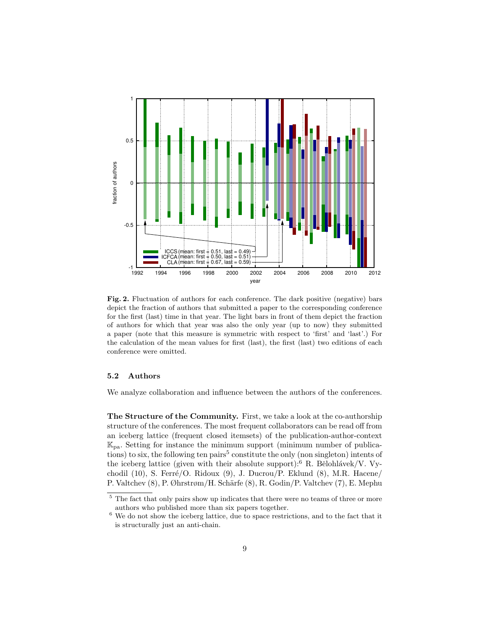

<span id="page-8-1"></span>Fig. 2. Fluctuation of authors for each conference. The dark positive (negative) bars depict the fraction of authors that submitted a paper to the corresponding conference for the first (last) time in that year. The light bars in front of them depict the fraction of authors for which that year was also the only year (up to now) they submitted a paper (note that this measure is symmetric with respect to 'first' and 'last'.) For the calculation of the mean values for first (last), the first (last) two editions of each conference were omitted.

#### <span id="page-8-0"></span>5.2 Authors

We analyze collaboration and influence between the authors of the conferences.

<span id="page-8-4"></span>The Structure of the Community. First, we take a look at the co-authorship structure of the conferences. The most frequent collaborators can be read off from an iceberg lattice (frequent closed itemsets) of the publication-author-context  $\mathbb{K}_{\mathbf{n}\mathbf{a}}$ . Setting for instance the minimum support (minimum number of publica-tions) to six, the following ten pairs<sup>[5](#page-8-2)</sup> constitute the only (non singleton) intents of the iceberg lattice (given with their absolute support):<sup>[6](#page-8-3)</sup> R. Bělohlávek/V. Vychodil (10), S. Ferré/O. Ridoux (9), J. Ducrou/P. Eklund (8), M.R. Hacene/ P. Valtchev (8), P. Øhrstrøm/H. Schärfe (8), R. Godin/P. Valtchev (7), E. Mephu

<span id="page-8-2"></span><sup>&</sup>lt;sup>5</sup> The fact that only pairs show up indicates that there were no teams of three or more authors who published more than six papers together.

<span id="page-8-3"></span> $6$  We do not show the iceberg lattice, due to space restrictions, and to the fact that it is structurally just an anti-chain.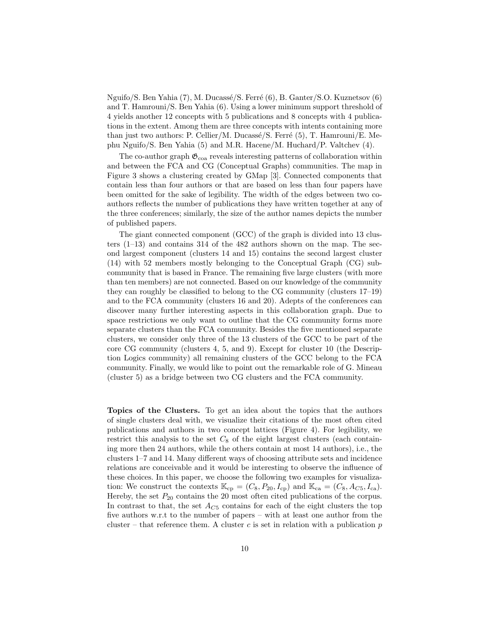Nguifo/S. Ben Yahia (7), M. Ducassé/S. Ferré (6), B. Ganter/S.O. Kuznetsov (6) and T. Hamrouni/S. Ben Yahia (6). Using a lower minimum support threshold of 4 yields another 12 concepts with 5 publications and 8 concepts with 4 publications in the extent. Among them are three concepts with intents containing more than just two authors: P. Cellier/M. Ducassé/S. Ferré  $(5)$ , T. Hamrouni/E. Mephu Nguifo/S. Ben Yahia (5) and M.R. Hacene/M. Huchard/P. Valtchev (4).

The co-author graph  $\mathfrak{G}_{\text{coa}}$  reveals interesting patterns of collaboration within and between the FCA and CG (Conceptual Graphs) communities. The map in Figure [3](#page-10-0) shows a clustering created by GMap [\[3\]](#page-15-10). Connected components that contain less than four authors or that are based on less than four papers have been omitted for the sake of legibility. The width of the edges between two coauthors reflects the number of publications they have written together at any of the three conferences; similarly, the size of the author names depicts the number of published papers.

The giant connected component (GCC) of the graph is divided into 13 clusters (1–13) and contains 314 of the 482 authors shown on the map. The second largest component (clusters 14 and 15) contains the second largest cluster (14) with 52 members mostly belonging to the Conceptual Graph (CG) subcommunity that is based in France. The remaining five large clusters (with more than ten members) are not connected. Based on our knowledge of the community they can roughly be classified to belong to the CG community (clusters 17–19) and to the FCA community (clusters 16 and 20). Adepts of the conferences can discover many further interesting aspects in this collaboration graph. Due to space restrictions we only want to outline that the CG community forms more separate clusters than the FCA community. Besides the five mentioned separate clusters, we consider only three of the 13 clusters of the GCC to be part of the core CG community (clusters 4, 5, and 9). Except for cluster 10 (the Description Logics community) all remaining clusters of the GCC belong to the FCA community. Finally, we would like to point out the remarkable role of G. Mineau (cluster 5) as a bridge between two CG clusters and the FCA community.

Topics of the Clusters. To get an idea about the topics that the authors of single clusters deal with, we visualize their citations of the most often cited publications and authors in two concept lattices (Figure [4\)](#page-12-0). For legibility, we restrict this analysis to the set  $C_8$  of the eight largest clusters (each containing more then 24 authors, while the others contain at most 14 authors), i.e., the clusters 1–7 and 14. Many different ways of choosing attribute sets and incidence relations are conceivable and it would be interesting to observe the influence of these choices. In this paper, we choose the following two examples for visualization: We construct the contexts  $\mathbb{K}_{cp} = (C_8, P_{20}, I_{cp})$  and  $\mathbb{K}_{ca} = (C_8, A_{C_5}, I_{ca})$ . Hereby, the set  $P_{20}$  contains the 20 most often cited publications of the corpus. In contrast to that, the set  $A_{C5}$  contains for each of the eight clusters the top five authors w.r.t to the number of papers – with at least one author from the cluster – that reference them. A cluster c is set in relation with a publication  $p$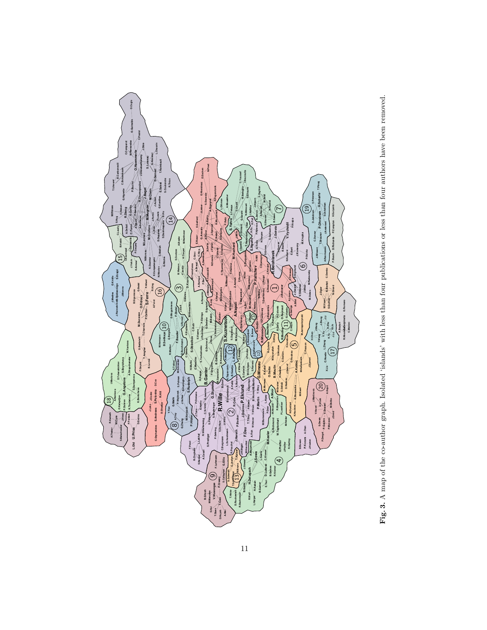

<span id="page-10-0"></span>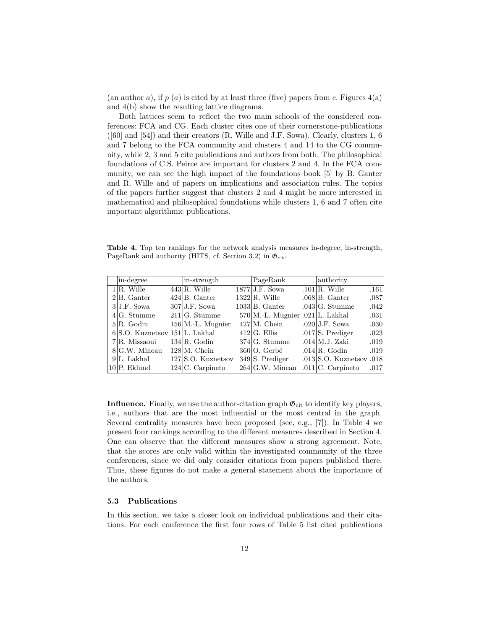(an author a), if  $p(a)$  is cited by at least three (five) papers from c. Figures  $4(a)$ and [4\(b\)](#page-12-2) show the resulting lattice diagrams.

Both lattices seem to reflect the two main schools of the considered conferences: FCA and CG. Each cluster cites one of their cornerstone-publications ([\[60\]](#page-18-1) and [\[54\]](#page-18-2)) and their creators (R. Wille and J.F. Sowa). Clearly, clusters 1, 6 and 7 belong to the FCA community and clusters 4 and 14 to the CG community, while 2, 3 and 5 cite publications and authors from both. The philosophical foundations of C.S. Peirce are important for clusters 2 and 4. In the FCA community, we can see the high impact of the foundations book [\[5\]](#page-15-5) by B. Ganter and R. Wille and of papers on implications and association rules. The topics of the papers further suggest that clusters 2 and 4 might be more interested in mathematical and philosophical foundations while clusters 1, 6 and 7 often cite important algorithmic publications.

<span id="page-11-2"></span><span id="page-11-0"></span>Table 4. Top ten rankings for the network analysis measures in-degree, in-strength, PageRank and authority (HITS, cf. Section [3.2\)](#page-3-1) in  $\mathfrak{G}_{\text{cit}}$ .

| in-degree                      | in-strength          | PageRank                            | authority                      |      |
|--------------------------------|----------------------|-------------------------------------|--------------------------------|------|
| $1 R.$ Wille                   | $443 R.$ Wille       | $1877$ J.F. Sowa                    | $.101 R.$ Wille                | .161 |
| $2 B$ . Ganter                 | $424$ B. Ganter      | $1322 R.$ Wille                     | $.068 B.$ Ganter               | .087 |
| 3 J.F. Sowa                    | $307$ . J.F. Sowa    | $1033 B.$ Ganter                    | $.043 G.$ Stumme               | .042 |
| $4 G.$ Stumme                  | $211 G.$ Stumme      | $570$  M.-L. Mugnier .021 L. Lakhal |                                | .031 |
| 5 R. Godin                     | $156$ M.-L. Mugnier  | $427$ M. Chein                      | $.020$ J.F. Sowa               | .030 |
| 6 S.O. Kuznetsov 151 L. Lakhal |                      | $412 G$ . Ellis                     | $.017$ <sub>S</sub> . Prediger | .023 |
| 7 <sup>R.</sup> Missaoui       | 134 R. Godin         | $374$ <sub>G</sub> . Stumme         | $.014$ M.J. Zaki               | .019 |
| 8 G.W. Mineau                  | $128$ M. Chein       | $360 O$ . Gerbé                     | $.014 R.$ Godin                | .019 |
| $9L$ . Lakhal                  | $127$ S.O. Kuznetsov | $349\text{S}$ . Prediger            | .013 $ S.O.$ Kuznetsov .018    |      |
| 10P. Eklund                    | $124 C$ . Carpineto  | $264$ G.W. Mineau                   | $.011$ C. Carpineto            | .017 |

**Influence.** Finally, we use the author-citation graph  $\mathfrak{G}_{\text{cit}}$  to identify key players, i.e., authors that are the most influential or the most central in the graph. Several centrality measures have been proposed (see, e.g., [\[7\]](#page-15-11)). In Table [4](#page-11-2) we present four rankings according to the different measures described in Section [4.](#page-3-0) One can observe that the different measures show a strong agreement. Note, that the scores are only valid within the investigated community of the three conferences, since we did only consider citations from papers published there. Thus, these figures do not make a general statement about the importance of the authors.

#### <span id="page-11-1"></span>5.3 Publications

In this section, we take a closer look on individual publications and their citations. For each conference the first four rows of Table [5](#page-14-0) list cited publications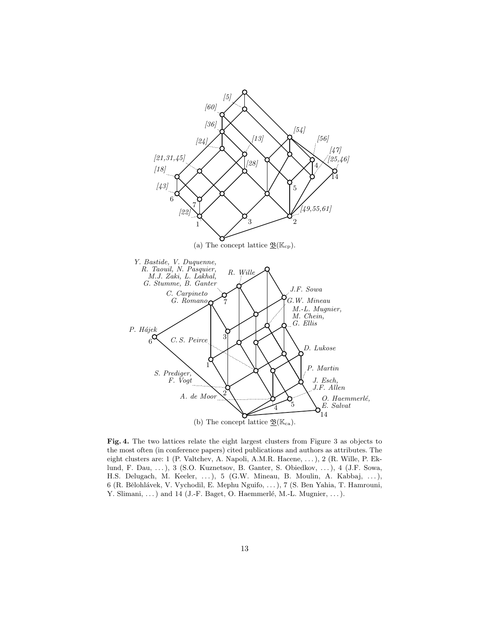<span id="page-12-1"></span>

<span id="page-12-2"></span><span id="page-12-0"></span>Fig. 4. The two lattices relate the eight largest clusters from Figure [3](#page-10-0) as objects to the most often (in conference papers) cited publications and authors as attributes. The eight clusters are: 1 (P. Valtchev, A. Napoli, A.M.R. Hacene, . . . ), 2 (R. Wille, P. Eklund, F. Dau, ...), 3 (S.O. Kuznetsov, B. Ganter, S. Obiedkov, ...), 4 (J.F. Sowa, H.S. Delugach, M. Keeler, ...), 5 (G.W. Mineau, B. Moulin, A. Kabbaj, ...), 6 (R. Bělohlávek, V. Vychodil, E. Mephu Nguifo, ...), 7 (S. Ben Yahia, T. Hamrouni, Y. Slimani,  $\dots$ ) and 14 (J.-F. Baget, O. Haemmerlé, M.-L. Mugnier,  $\dots$ ).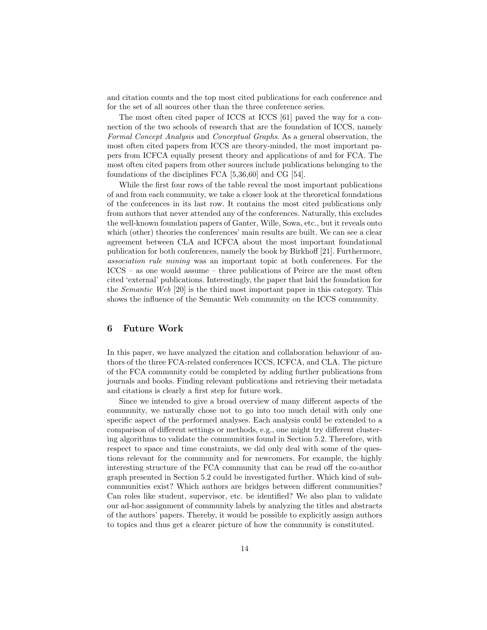and citation counts and the top most cited publications for each conference and for the set of all sources other than the three conference series.

The most often cited paper of ICCS at ICCS [\[61\]](#page-18-5) paved the way for a connection of the two schools of research that are the foundation of ICCS, namely Formal Concept Analysis and Conceptual Graphs. As a general observation, the most often cited papers from ICCS are theory-minded, the most important papers from ICFCA equally present theory and applications of and for FCA. The most often cited papers from other sources include publications belonging to the foundations of the disciplines FCA [\[5,](#page-15-5)[36,](#page-17-5)[60\]](#page-18-1) and CG [\[54\]](#page-18-2).

While the first four rows of the table reveal the most important publications of and from each community, we take a closer look at the theoretical foundations of the conferences in its last row. It contains the most cited publications only from authors that never attended any of the conferences. Naturally, this excludes the well-known foundation papers of Ganter, Wille, Sowa, etc., but it reveals onto which (other) theories the conferences' main results are built. We can see a clear agreement between CLA and ICFCA about the most important foundational publication for both conferences, namely the book by Birkhoff [\[21\]](#page-16-5). Furthermore, association rule mining was an important topic at both conferences. For the ICCS – as one would assume – three publications of Peirce are the most often cited 'external' publications. Interestingly, the paper that laid the foundation for the Semantic Web [\[20\]](#page-16-10) is the third most important paper in this category. This shows the influence of the Semantic Web community on the ICCS community.

## <span id="page-13-0"></span>6 Future Work

In this paper, we have analyzed the citation and collaboration behaviour of authors of the three FCA-related conferences ICCS, ICFCA, and CLA. The picture of the FCA community could be completed by adding further publications from journals and books. Finding relevant publications and retrieving their metadata and citations is clearly a first step for future work.

Since we intended to give a broad overview of many different aspects of the community, we naturally chose not to go into too much detail with only one specific aspect of the performed analyses. Each analysis could be extended to a comparison of different settings or methods, e.g., one might try different clustering algorithms to validate the communities found in Section [5.2.](#page-8-4) Therefore, with respect to space and time constraints, we did only deal with some of the questions relevant for the community and for newcomers. For example, the highly interesting structure of the FCA community that can be read off the co-author graph presented in Section [5.2](#page-8-4) could be investigated further. Which kind of subcommunities exist? Which authors are bridges between different communities? Can roles like student, supervisor, etc. be identified? We also plan to validate our ad-hoc assignment of community labels by analyzing the titles and abstracts of the authors' papers. Thereby, it would be possible to explicitly assign authors to topics and thus get a clearer picture of how the community is constituted.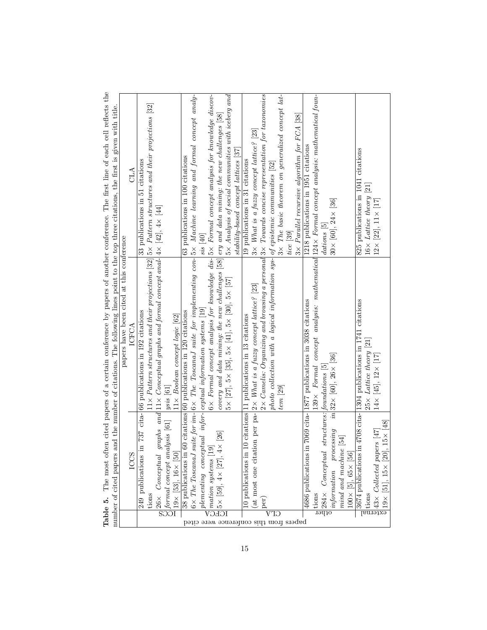<span id="page-14-0"></span>

|                                        |                                                                                                                                                       | number of cited papers and the number of citations. The following lines point to the top three citations, the first is given with title.<br>papers have been cited at this conference | Table 5. The most often cited papers of a certain conference by papers of another conference. The first line of each cell reflects the      |
|----------------------------------------|-------------------------------------------------------------------------------------------------------------------------------------------------------|---------------------------------------------------------------------------------------------------------------------------------------------------------------------------------------|---------------------------------------------------------------------------------------------------------------------------------------------|
|                                        | ICCS                                                                                                                                                  | ICFCA                                                                                                                                                                                 | CLA                                                                                                                                         |
|                                        |                                                                                                                                                       | 249 publications in 737 cita-66 publications in 192 citations                                                                                                                         | 33 publications in 51 citations                                                                                                             |
|                                        | tions                                                                                                                                                 | $11 \times$ Pattern structures and their projections $[32]$ $[5 \times$ Pattern structures and their projections $[32]$                                                               |                                                                                                                                             |
|                                        |                                                                                                                                                       |                                                                                                                                                                                       |                                                                                                                                             |
|                                        |                                                                                                                                                       |                                                                                                                                                                                       |                                                                                                                                             |
|                                        |                                                                                                                                                       |                                                                                                                                                                                       |                                                                                                                                             |
|                                        | 38 publications in                                                                                                                                    | 60 citations 60 publications in 120 citations                                                                                                                                         | 63 publications in 100 citations                                                                                                            |
|                                        |                                                                                                                                                       |                                                                                                                                                                                       | $6\times$ The ToscanaJ suite for im- $6\times$ The ToscanaJ suite for implementing $con-5\times$ Machine learning and formal concept analy- |
|                                        | plementing concep                                                                                                                                     |                                                                                                                                                                                       | $sis$ [40]                                                                                                                                  |
|                                        |                                                                                                                                                       |                                                                                                                                                                                       | $6\times$ Formal concept analysis for knowledge dis- $ 5\times$ Formal concept analysis for knowledge discov-                               |
|                                        | K mation systems [19]<br>DH 5× [59], 4× [27], 4× [26]<br>D 5× [59], 4× [27], 4× [26]                                                                  | covery and data mining: the new challenges $[58]$ ery and data mining: the new challenges $[58]$                                                                                      |                                                                                                                                             |
|                                        |                                                                                                                                                       | $5 \times$ [27], $5 \times$ [35], $5 \times$ [41], $5 \times$ [30], $5 \times$ [57]                                                                                                   | $5\times$ Analysis of social communities with iceberg and                                                                                   |
| papers from this conference were cited |                                                                                                                                                       |                                                                                                                                                                                       | $stability-based concept lattices$ [37]                                                                                                     |
|                                        | 10 publications in                                                                                                                                    | 0 citations 11 publications in 13 citations                                                                                                                                           | 19 publications in 31 citations                                                                                                             |
|                                        |                                                                                                                                                       | (at most one citation per pa- $ 2 \times What$ is a fuzzy concept lattice? [23]                                                                                                       | $3 \times$ What is a fuzzy concept lattice? [23]                                                                                            |
|                                        | per)                                                                                                                                                  |                                                                                                                                                                                       | 2× Camelis: Organizing and browsing a personal 3× Towards concise representation for taxonomies                                             |
| CΓV                                    |                                                                                                                                                       | $photo\ collection\ with\ a\ logical\ information\ sys- of\ epistemic\ commutities\ [52]$                                                                                             |                                                                                                                                             |
|                                        |                                                                                                                                                       | $_{tem}$ [29                                                                                                                                                                          | $3\times$ The basic theorem on generalized concept lat-                                                                                     |
|                                        |                                                                                                                                                       |                                                                                                                                                                                       | tice [39]                                                                                                                                   |
|                                        |                                                                                                                                                       |                                                                                                                                                                                       | $3 \times$ Parallel recursive algorithm for FCA [38]                                                                                        |
|                                        |                                                                                                                                                       | 4686 publications in 7069 cita- 1877 publications in 3038 citations                                                                                                                   | 1218 publications in 1951 citations                                                                                                         |
|                                        |                                                                                                                                                       |                                                                                                                                                                                       | $139\times$ Formal concept analysis: mathematical $ 124\times$ Formal concept analysis: mathematical foun-                                  |
|                                        | $\frac{1}{2}$ tions<br>$\frac{284 \times \textit{Conceptual s}}{4 \cdot n \cdot \textit{for} \cdot n \cdot \textit{of} \cdot n \cdot \textit{proce}}$ | $structures: [foundations]$ $5$                                                                                                                                                       | dations [5]                                                                                                                                 |
|                                        | essing                                                                                                                                                | $\left  n\right $ 32 $\times$ [60], 26 $\times$ [36]                                                                                                                                  | $30\times$ [60], $24\times$ [36]                                                                                                            |
|                                        | [54]<br>mind and machine                                                                                                                              |                                                                                                                                                                                       |                                                                                                                                             |
|                                        | $100 \times [5]$ , $65 \times [56]$                                                                                                                   |                                                                                                                                                                                       |                                                                                                                                             |
|                                        |                                                                                                                                                       | 3674 publications in 4708 cita-1304 publications in 1741 citations                                                                                                                    | 825 publications in 1041 citations                                                                                                          |
|                                        |                                                                                                                                                       | $25 \times Lattice$ theory $ 21 $                                                                                                                                                     | $16 \times Lattice theory [21]$                                                                                                             |
|                                        | $\frac{1}{4}$ tions<br>$\frac{1}{4}$ 43 × <i>Collected papers</i> [47]<br>819 × [51], 15 × [20], 15 × [4}                                             | $14 \times [45]$ , $12 \times [17]$                                                                                                                                                   | $12 \times [22]$ , $11 \times [17]$                                                                                                         |
|                                        | $15 \times 48$                                                                                                                                        |                                                                                                                                                                                       |                                                                                                                                             |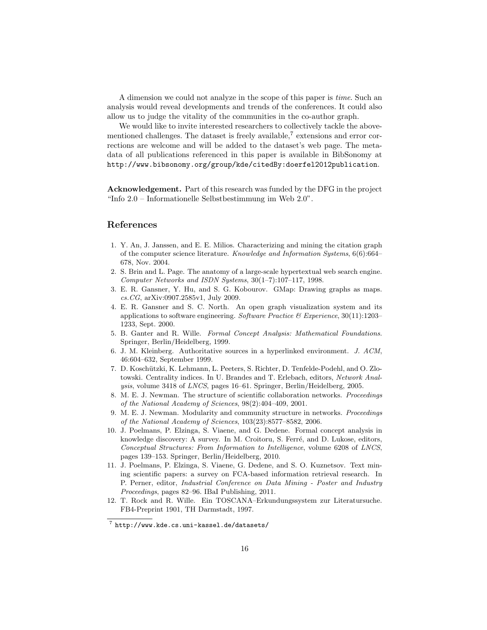A dimension we could not analyze in the scope of this paper is time. Such an analysis would reveal developments and trends of the conferences. It could also allow us to judge the vitality of the communities in the co-author graph.

We would like to invite interested researchers to collectively tackle the above-mentioned challenges. The dataset is freely available,<sup>[7](#page-15-12)</sup> extensions and error corrections are welcome and will be added to the dataset's web page. The metadata of all publications referenced in this paper is available in BibSonomy at <http://www.bibsonomy.org/group/kde/citedBy:doerfel2012publication>.

Acknowledgement. Part of this research was funded by the DFG in the project "Info 2.0 – Informationelle Selbstbestimmung im Web 2.0".

## References

- <span id="page-15-1"></span>1. Y. An, J. Janssen, and E. E. Milios. Characterizing and mining the citation graph of the computer science literature. Knowledge and Information Systems, 6(6):664– 678, Nov. 2004.
- <span id="page-15-8"></span>2. S. Brin and L. Page. The anatomy of a large-scale hypertextual web search engine. Computer Networks and ISDN Systems, 30(1–7):107–117, 1998.
- <span id="page-15-10"></span>3. E. R. Gansner, Y. Hu, and S. G. Kobourov. GMap: Drawing graphs as maps. cs.CG, arXiv:0907.2585v1, July 2009.
- <span id="page-15-6"></span>4. E. R. Gansner and S. C. North. An open graph visualization system and its applications to software engineering. Software Practice  $\mathcal C$  Experience, 30(11):1203– 1233, Sept. 2000.
- <span id="page-15-5"></span>5. B. Ganter and R. Wille. Formal Concept Analysis: Mathematical Foundations. Springer, Berlin/Heidelberg, 1999.
- <span id="page-15-9"></span>6. J. M. Kleinberg. Authoritative sources in a hyperlinked environment. J. ACM, 46:604–632, September 1999.
- <span id="page-15-11"></span>7. D. Koschützki, K. Lehmann, L. Peeters, S. Richter, D. Tenfelde-Podehl, and O. Zlotowski. Centrality indices. In U. Brandes and T. Erlebach, editors, Network Analysis, volume 3418 of LNCS, pages 16–61. Springer, Berlin/Heidelberg, 2005.
- <span id="page-15-0"></span>8. M. E. J. Newman. The structure of scientific collaboration networks. Proceedings of the National Academy of Sciences, 98(2):404–409, 2001.
- <span id="page-15-7"></span>9. M. E. J. Newman. Modularity and community structure in networks. Proceedings of the National Academy of Sciences, 103(23):8577–8582, 2006.
- <span id="page-15-2"></span>10. J. Poelmans, P. Elzinga, S. Viaene, and G. Dedene. Formal concept analysis in knowledge discovery: A survey. In M. Croitoru, S. Ferré, and D. Lukose, editors, Conceptual Structures: From Information to Intelligence, volume 6208 of LNCS, pages 139–153. Springer, Berlin/Heidelberg, 2010.
- <span id="page-15-3"></span>11. J. Poelmans, P. Elzinga, S. Viaene, G. Dedene, and S. O. Kuznetsov. Text mining scientific papers: a survey on FCA-based information retrieval research. In P. Perner, editor, Industrial Conference on Data Mining - Poster and Industry Proceedings, pages 82–96. IBaI Publishing, 2011.
- <span id="page-15-4"></span>12. T. Rock and R. Wille. Ein TOSCANA–Erkundungssystem zur Literatursuche. FB4-Preprint 1901, TH Darmstadt, 1997.

<span id="page-15-12"></span> $7$  [http://www.kde.cs.uni-kassel.de/datasets/](https://www.kde.cs.uni-kassel.de/datasets/)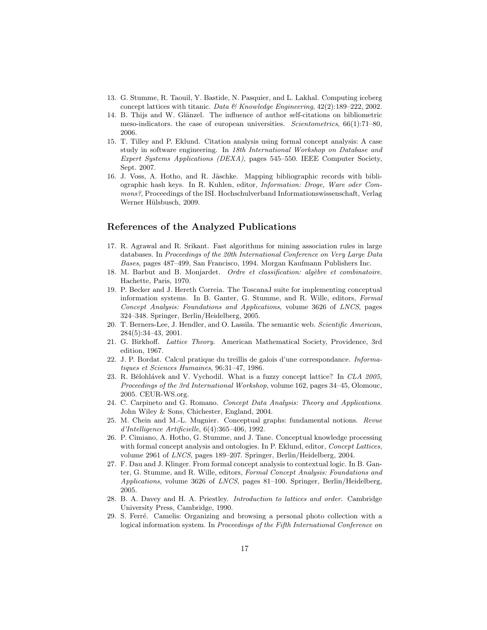- <span id="page-16-2"></span>13. G. Stumme, R. Taouil, Y. Bastide, N. Pasquier, and L. Lakhal. Computing iceberg concept lattices with titanic. Data & Knowledge Engineering,  $42(2):189-222$ , 2002.
- <span id="page-16-3"></span>14. B. Thijs and W. Glänzel. The influence of author self-citations on bibliometric meso-indicators. the case of european universities. *Scientometrics*,  $66(1)$ :71–80, 2006.
- <span id="page-16-0"></span>15. T. Tilley and P. Eklund. Citation analysis using formal concept analysis: A case study in software engineering. In 18th International Workshop on Database and Expert Systems Applications (DEXA), pages 545–550. IEEE Computer Society, Sept. 2007.
- <span id="page-16-1"></span>16. J. Voss, A. Hotho, and R. Jäschke. Mapping bibliographic records with bibliographic hash keys. In R. Kuhlen, editor, Information: Droge, Ware oder Commons?, Proceedings of the ISI. Hochschulverband Informationswissenschaft, Verlag Werner Hülsbusch, 2009.

## References of the Analyzed Publications

- <span id="page-16-16"></span>17. R. Agrawal and R. Srikant. Fast algorithms for mining association rules in large databases. In Proceedings of the 20th International Conference on Very Large Data Bases, pages 487–499, San Francisco, 1994. Morgan Kaufmann Publishers Inc.
- <span id="page-16-6"></span>18. M. Barbut and B. Monjardet. Ordre et classification: algèbre et combinatoire. Hachette, Paris, 1970.
- <span id="page-16-11"></span>19. P. Becker and J. Hereth Correia. The ToscanaJ suite for implementing conceptual information systems. In B. Ganter, G. Stumme, and R. Wille, editors, Formal Concept Analysis: Foundations and Applications, volume 3626 of LNCS, pages 324–348. Springer, Berlin/Heidelberg, 2005.
- <span id="page-16-10"></span>20. T. Berners-Lee, J. Hendler, and O. Lassila. The semantic web. Scientific American, 284(5):34–43, 2001.
- <span id="page-16-5"></span>21. G. Birkhoff. Lattice Theory. American Mathematical Society, Providence, 3rd edition, 1967.
- <span id="page-16-4"></span>22. J. P. Bordat. Calcul pratique du treillis de galois d'une correspondance. Informatiques et Sciences Humaines, 96:31–47, 1986.
- <span id="page-16-14"></span>23. R. Bělohlávek and V. Vychodil. What is a fuzzy concept lattice? In CLA 2005, Proceedings of the 3rd International Workshop, volume 162, pages 34–45, Olomouc, 2005. CEUR-WS.org.
- <span id="page-16-9"></span>24. C. Carpineto and G. Romano. Concept Data Analysis: Theory and Applications. John Wiley & Sons, Chichester, England, 2004.
- <span id="page-16-7"></span>25. M. Chein and M.-L. Mugnier. Conceptual graphs: fundamental notions. Revue d'Intelligence Artificielle, 6(4):365–406, 1992.
- <span id="page-16-13"></span>26. P. Cimiano, A. Hotho, G. Stumme, and J. Tane. Conceptual knowledge processing with formal concept analysis and ontologies. In P. Eklund, editor, *Concept Lattices*, volume 2961 of LNCS, pages 189–207. Springer, Berlin/Heidelberg, 2004.
- <span id="page-16-12"></span>27. F. Dau and J. Klinger. From formal concept analysis to contextual logic. In B. Ganter, G. Stumme, and R. Wille, editors, Formal Concept Analysis: Foundations and Applications, volume 3626 of LNCS, pages 81–100. Springer, Berlin/Heidelberg, 2005.
- <span id="page-16-8"></span>28. B. A. Davey and H. A. Priestley. Introduction to lattices and order. Cambridge University Press, Cambridge, 1990.
- <span id="page-16-15"></span>29. S. Ferré. Camelis: Organizing and browsing a personal photo collection with a logical information system. In Proceedings of the Fifth International Conference on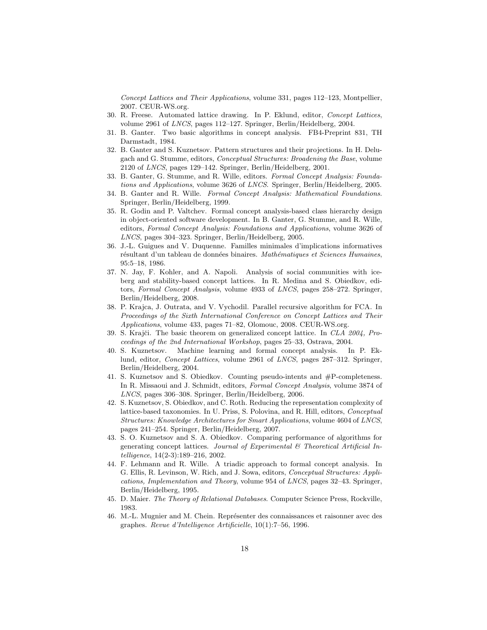Concept Lattices and Their Applications, volume 331, pages 112–123, Montpellier, 2007. CEUR-WS.org.

- <span id="page-17-11"></span>30. R. Freese. Automated lattice drawing. In P. Eklund, editor, Concept Lattices, volume 2961 of LNCS, pages 112–127. Springer, Berlin/Heidelberg, 2004.
- <span id="page-17-2"></span>31. B. Ganter. Two basic algorithms in concept analysis. FB4-Preprint 831, TH Darmstadt, 1984.
- <span id="page-17-6"></span>32. B. Ganter and S. Kuznetsov. Pattern structures and their projections. In H. Delugach and G. Stumme, editors, Conceptual Structures: Broadening the Base, volume 2120 of LNCS, pages 129–142. Springer, Berlin/Heidelberg, 2001.
- <span id="page-17-0"></span>33. B. Ganter, G. Stumme, and R. Wille, editors. Formal Concept Analysis: Foundations and Applications, volume 3626 of LNCS. Springer, Berlin/Heidelberg, 2005.
- 34. B. Ganter and R. Wille. Formal Concept Analysis: Mathematical Foundations. Springer, Berlin/Heidelberg, 1999.
- <span id="page-17-9"></span>35. R. Godin and P. Valtchev. Formal concept analysis-based class hierarchy design in object-oriented software development. In B. Ganter, G. Stumme, and R. Wille, editors, Formal Concept Analysis: Foundations and Applications, volume 3626 of LNCS, pages 304–323. Springer, Berlin/Heidelberg, 2005.
- <span id="page-17-5"></span>36. J.-L. Guigues and V. Duquenne. Familles minimales d'implications informatives résultant d'un tableau de données binaires. Mathématiques et Sciences Humaines, 95:5–18, 1986.
- <span id="page-17-13"></span>37. N. Jay, F. Kohler, and A. Napoli. Analysis of social communities with iceberg and stability-based concept lattices. In R. Medina and S. Obiedkov, editors, Formal Concept Analysis, volume 4933 of LNCS, pages 258–272. Springer, Berlin/Heidelberg, 2008.
- <span id="page-17-15"></span>38. P. Krajca, J. Outrata, and V. Vychodil. Parallel recursive algorithm for FCA. In Proceedings of the Sixth International Conference on Concept Lattices and Their Applications, volume 433, pages 71–82, Olomouc, 2008. CEUR-WS.org.
- <span id="page-17-14"></span>39. S. Krajči. The basic theorem on generalized concept lattice. In  $CLA$  2004, Proceedings of the 2nd International Workshop, pages 25–33, Ostrava, 2004.
- <span id="page-17-12"></span>40. S. Kuznetsov. Machine learning and formal concept analysis. In P. Eklund, editor, Concept Lattices, volume 2961 of LNCS, pages 287–312. Springer, Berlin/Heidelberg, 2004.
- <span id="page-17-10"></span>41. S. Kuznetsov and S. Obiedkov. Counting pseudo-intents and #P-completeness. In R. Missaoui and J. Schmidt, editors, Formal Concept Analysis, volume 3874 of LNCS, pages 306–308. Springer, Berlin/Heidelberg, 2006.
- <span id="page-17-7"></span>42. S. Kuznetsov, S. Obiedkov, and C. Roth. Reducing the representation complexity of lattice-based taxonomies. In U. Priss, S. Polovina, and R. Hill, editors, Conceptual Structures: Knowledge Architectures for Smart Applications, volume 4604 of LNCS, pages 241–254. Springer, Berlin/Heidelberg, 2007.
- <span id="page-17-1"></span>43. S. O. Kuznetsov and S. A. Obiedkov. Comparing performance of algorithms for generating concept lattices. Journal of Experimental & Theoretical Artificial Intelligence, 14(2-3):189–216, 2002.
- <span id="page-17-8"></span>44. F. Lehmann and R. Wille. A triadic approach to formal concept analysis. In G. Ellis, R. Levinson, W. Rich, and J. Sowa, editors, Conceptual Structures: Applications, Implementation and Theory, volume 954 of LNCS, pages 32–43. Springer, Berlin/Heidelberg, 1995.
- <span id="page-17-3"></span>45. D. Maier. The Theory of Relational Databases. Computer Science Press, Rockville, 1983.
- <span id="page-17-4"></span>46. M.-L. Mugnier and M. Chein. Représenter des connaissances et raisonner avec des graphes. Revue d'Intelligence Artificielle, 10(1):7–56, 1996.